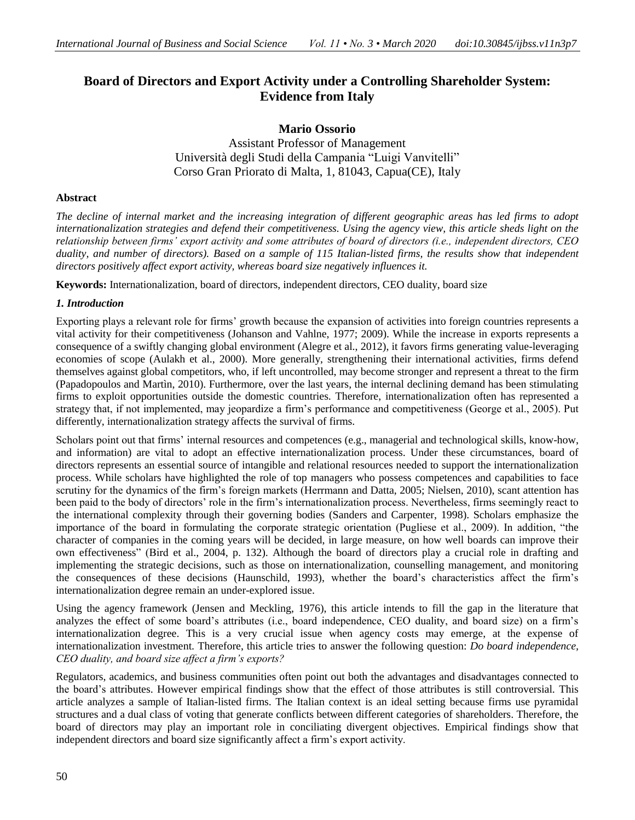# **Board of Directors and Export Activity under a Controlling Shareholder System: Evidence from Italy**

**Mario Ossorio** Assistant Professor of Management Università degli Studi della Campania "Luigi Vanvitelli" Corso Gran Priorato di Malta, 1, 81043, Capua(CE), Italy

# **Abstract**

*The decline of internal market and the increasing integration of different geographic areas has led firms to adopt internationalization strategies and defend their competitiveness. Using the agency view, this article sheds light on the relationship between firms' export activity and some attributes of board of directors (i.e., independent directors, CEO duality, and number of directors). Based on a sample of 115 Italian-listed firms, the results show that independent directors positively affect export activity, whereas board size negatively influences it.*

**Keywords:** Internationalization, board of directors, independent directors, CEO duality, board size

# *1. Introduction*

Exporting plays a relevant role for firms' growth because the expansion of activities into foreign countries represents a vital activity for their competitiveness (Johanson and Vahlne, 1977; 2009). While the increase in exports represents a consequence of a swiftly changing global environment (Alegre et al., 2012), it favors firms generating value-leveraging economies of scope (Aulakh et al., 2000). More generally, strengthening their international activities, firms defend themselves against global competitors, who, if left uncontrolled, may become stronger and represent a threat to the firm (Papadopoulos and Martìn, 2010). Furthermore, over the last years, the internal declining demand has been stimulating firms to exploit opportunities outside the domestic countries. Therefore, internationalization often has represented a strategy that, if not implemented, may jeopardize a firm's performance and competitiveness (George et al., 2005). Put differently, internationalization strategy affects the survival of firms.

Scholars point out that firms' internal resources and competences (e.g., managerial and technological skills, know-how, and information) are vital to adopt an effective internationalization process. Under these circumstances, board of directors represents an essential source of intangible and relational resources needed to support the internationalization process. While scholars have highlighted the role of top managers who possess competences and capabilities to face scrutiny for the dynamics of the firm's foreign markets (Herrmann and Datta, 2005; Nielsen, 2010), scant attention has been paid to the body of directors' role in the firm's internationalization process. Nevertheless, firms seemingly react to the international complexity through their governing bodies (Sanders and Carpenter, 1998). Scholars emphasize the importance of the board in formulating the corporate strategic orientation (Pugliese et al., 2009). In addition, "the character of companies in the coming years will be decided, in large measure, on how well boards can improve their own effectiveness" (Bird et al., 2004, p. 132). Although the board of directors play a crucial role in drafting and implementing the strategic decisions, such as those on internationalization, counselling management, and monitoring the consequences of these decisions (Haunschild, 1993), whether the board's characteristics affect the firm's internationalization degree remain an under-explored issue.

Using the agency framework (Jensen and Meckling, 1976), this article intends to fill the gap in the literature that analyzes the effect of some board's attributes (i.e., board independence, CEO duality, and board size) on a firm's internationalization degree. This is a very crucial issue when agency costs may emerge, at the expense of internationalization investment. Therefore, this article tries to answer the following question: *Do board independence, CEO duality, and board size affect a firm's exports?* 

Regulators, academics, and business communities often point out both the advantages and disadvantages connected to the board's attributes. However empirical findings show that the effect of those attributes is still controversial. This article analyzes a sample of Italian-listed firms. The Italian context is an ideal setting because firms use pyramidal structures and a dual class of voting that generate conflicts between different categories of shareholders. Therefore, the board of directors may play an important role in conciliating divergent objectives. Empirical findings show that independent directors and board size significantly affect a firm's export activity.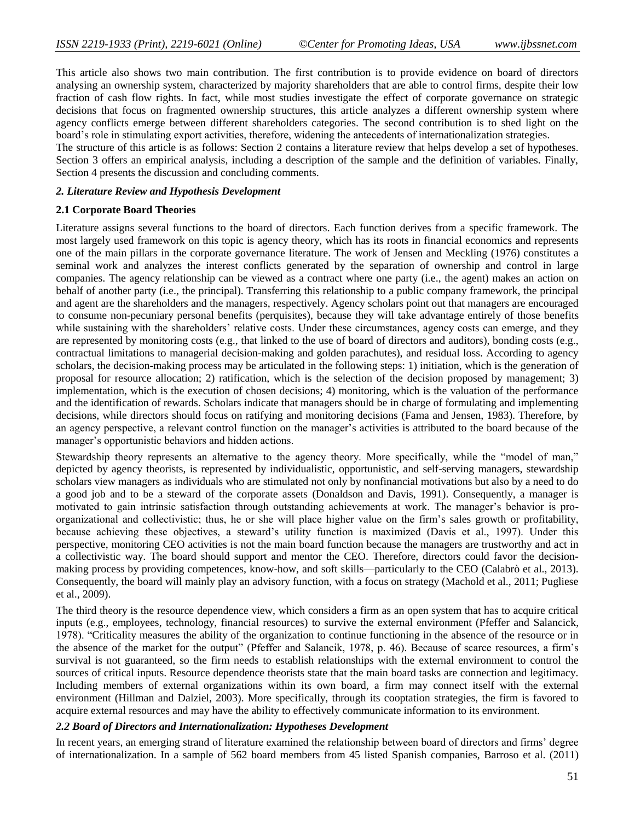This article also shows two main contribution. The first contribution is to provide evidence on board of directors analysing an ownership system, characterized by majority shareholders that are able to control firms, despite their low fraction of cash flow rights. In fact, while most studies investigate the effect of corporate governance on strategic decisions that focus on fragmented ownership structures, this article analyzes a different ownership system where agency conflicts emerge between different shareholders categories. The second contribution is to shed light on the board's role in stimulating export activities, therefore, widening the antecedents of internationalization strategies.

The structure of this article is as follows: Section 2 contains a literature review that helps develop a set of hypotheses. Section 3 offers an empirical analysis, including a description of the sample and the definition of variables. Finally, Section 4 presents the discussion and concluding comments.

#### *2. Literature Review and Hypothesis Development*

#### **2.1 Corporate Board Theories**

Literature assigns several functions to the board of directors. Each function derives from a specific framework. The most largely used framework on this topic is agency theory, which has its roots in financial economics and represents one of the main pillars in the corporate governance literature. The work of Jensen and Meckling (1976) constitutes a seminal work and analyzes the interest conflicts generated by the separation of ownership and control in large companies. The agency relationship can be viewed as a contract where one party (i.e., the agent) makes an action on behalf of another party (i.e., the principal). Transferring this relationship to a public company framework, the principal and agent are the shareholders and the managers, respectively. Agency scholars point out that managers are encouraged to consume non-pecuniary personal benefits (perquisites), because they will take advantage entirely of those benefits while sustaining with the shareholders' relative costs. Under these circumstances, agency costs can emerge, and they are represented by monitoring costs (e.g., that linked to the use of board of directors and auditors), bonding costs (e.g., contractual limitations to managerial decision-making and golden parachutes), and residual loss. According to agency scholars, the decision-making process may be articulated in the following steps: 1) initiation, which is the generation of proposal for resource allocation; 2) ratification, which is the selection of the decision proposed by management; 3) implementation, which is the execution of chosen decisions; 4) monitoring, which is the valuation of the performance and the identification of rewards. Scholars indicate that managers should be in charge of formulating and implementing decisions, while directors should focus on ratifying and monitoring decisions (Fama and Jensen, 1983). Therefore, by an agency perspective, a relevant control function on the manager's activities is attributed to the board because of the manager's opportunistic behaviors and hidden actions.

Stewardship theory represents an alternative to the agency theory. More specifically, while the "model of man," depicted by agency theorists, is represented by individualistic, opportunistic, and self-serving managers, stewardship scholars view managers as individuals who are stimulated not only by nonfinancial motivations but also by a need to do a good job and to be a steward of the corporate assets (Donaldson and Davis, 1991). Consequently, a manager is motivated to gain intrinsic satisfaction through outstanding achievements at work. The manager's behavior is proorganizational and collectivistic; thus, he or she will place higher value on the firm's sales growth or profitability, because achieving these objectives, a steward's utility function is maximized (Davis et al., 1997). Under this perspective, monitoring CEO activities is not the main board function because the managers are trustworthy and act in a collectivistic way. The board should support and mentor the CEO. Therefore, directors could favor the decisionmaking process by providing competences, know-how, and soft skills—particularly to the CEO (Calabrò et al., 2013). Consequently, the board will mainly play an advisory function, with a focus on strategy (Machold et al., 2011; Pugliese et al., 2009).

The third theory is the resource dependence view, which considers a firm as an open system that has to acquire critical inputs (e.g., employees, technology, financial resources) to survive the external environment (Pfeffer and Salancick, 1978). "Criticality measures the ability of the organization to continue functioning in the absence of the resource or in the absence of the market for the output" (Pfeffer and Salancik, 1978, p. 46). Because of scarce resources, a firm's survival is not guaranteed, so the firm needs to establish relationships with the external environment to control the sources of critical inputs. Resource dependence theorists state that the main board tasks are connection and legitimacy. Including members of external organizations within its own board, a firm may connect itself with the external environment (Hillman and Dalziel, 2003). More specifically, through its cooptation strategies, the firm is favored to acquire external resources and may have the ability to effectively communicate information to its environment.

#### *2.2 Board of Directors and Internationalization: Hypotheses Development*

In recent years, an emerging strand of literature examined the relationship between board of directors and firms' degree of internationalization. In a sample of 562 board members from 45 listed Spanish companies, Barroso et al. (2011)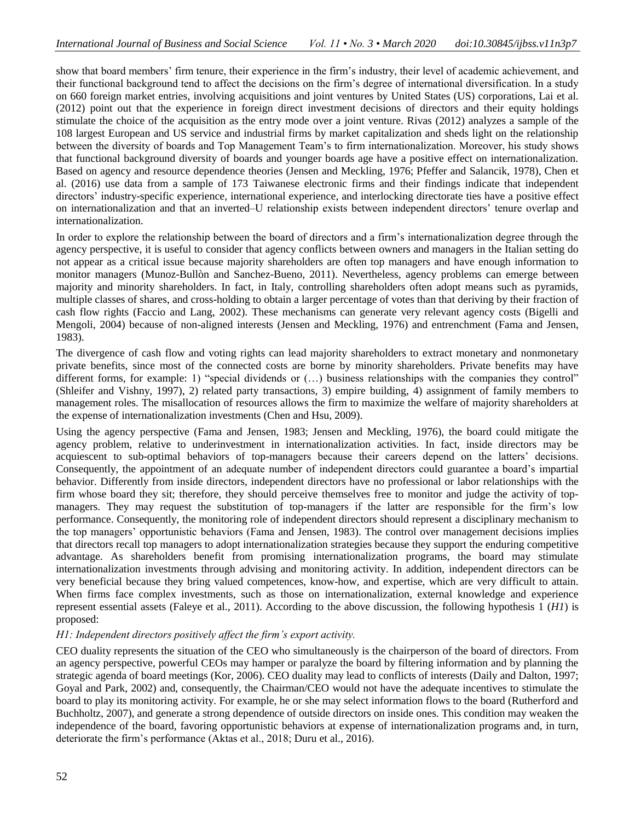show that board members' firm tenure, their experience in the firm's industry, their level of academic achievement, and their functional background tend to affect the decisions on the firm's degree of international diversification. In a study on 660 foreign market entries, involving acquisitions and joint ventures by United States (US) corporations, Lai et al. (2012) point out that the experience in foreign direct investment decisions of directors and their equity holdings stimulate the choice of the acquisition as the entry mode over a joint venture. Rivas (2012) analyzes a sample of the 108 largest European and US service and industrial firms by market capitalization and sheds light on the relationship between the diversity of boards and Top Management Team's to firm internationalization. Moreover, his study shows that functional background diversity of boards and younger boards age have a positive effect on internationalization. Based on agency and resource dependence theories (Jensen and Meckling, 1976; Pfeffer and Salancik, 1978), Chen et al. (2016) use data from a sample of 173 Taiwanese electronic firms and their findings indicate that independent directors' industry-specific experience, international experience, and interlocking directorate ties have a positive effect on internationalization and that an inverted–U relationship exists between independent directors' tenure overlap and internationalization.

In order to explore the relationship between the board of directors and a firm's internationalization degree through the agency perspective, it is useful to consider that agency conflicts between owners and managers in the Italian setting do not appear as a critical issue because majority shareholders are often top managers and have enough information to monitor managers (Munoz-Bullòn and Sanchez-Bueno, 2011). Nevertheless, agency problems can emerge between majority and minority shareholders. In fact, in Italy, controlling shareholders often adopt means such as pyramids, multiple classes of shares, and cross-holding to obtain a larger percentage of votes than that deriving by their fraction of cash flow rights (Faccio and Lang, 2002). These mechanisms can generate very relevant agency costs (Bigelli and Mengoli, 2004) because of non-aligned interests (Jensen and Meckling, 1976) and entrenchment (Fama and Jensen, 1983).

The divergence of cash flow and voting rights can lead majority shareholders to extract monetary and nonmonetary private benefits, since most of the connected costs are borne by minority shareholders. Private benefits may have different forms, for example: 1) "special dividends or  $(...)$  business relationships with the companies they control" (Shleifer and Vishny, 1997), 2) related party transactions, 3) empire building, 4) assignment of family members to management roles. The misallocation of resources allows the firm to maximize the welfare of majority shareholders at the expense of internationalization investments (Chen and Hsu, 2009).

Using the agency perspective (Fama and Jensen, 1983; Jensen and Meckling, 1976), the board could mitigate the agency problem, relative to underinvestment in internationalization activities. In fact, inside directors may be acquiescent to sub-optimal behaviors of top-managers because their careers depend on the latters' decisions. Consequently, the appointment of an adequate number of independent directors could guarantee a board's impartial behavior. Differently from inside directors, independent directors have no professional or labor relationships with the firm whose board they sit; therefore, they should perceive themselves free to monitor and judge the activity of topmanagers. They may request the substitution of top-managers if the latter are responsible for the firm's low performance. Consequently, the monitoring role of independent directors should represent a disciplinary mechanism to the top managers' opportunistic behaviors (Fama and Jensen, 1983). The control over management decisions implies that directors recall top managers to adopt internationalization strategies because they support the enduring competitive advantage. As shareholders benefit from promising internationalization programs, the board may stimulate internationalization investments through advising and monitoring activity. In addition, independent directors can be very beneficial because they bring valued competences, know-how, and expertise, which are very difficult to attain. When firms face complex investments, such as those on internationalization, external knowledge and experience represent essential assets (Faleye et al., 2011). According to the above discussion, the following hypothesis 1 (*H1*) is proposed:

## *H1: Independent directors positively affect the firm's export activity.*

CEO duality represents the situation of the CEO who simultaneously is the chairperson of the board of directors. From an agency perspective, powerful CEOs may hamper or paralyze the board by filtering information and by planning the strategic agenda of board meetings (Kor, 2006). CEO duality may lead to conflicts of interests (Daily and Dalton, 1997; Goyal and Park, 2002) and, consequently, the Chairman/CEO would not have the adequate incentives to stimulate the board to play its monitoring activity. For example, he or she may select information flows to the board (Rutherford and Buchholtz, 2007), and generate a strong dependence of outside directors on inside ones. This condition may weaken the independence of the board, favoring opportunistic behaviors at expense of internationalization programs and, in turn, deteriorate the firm's performance (Aktas et al., 2018; Duru et al., 2016).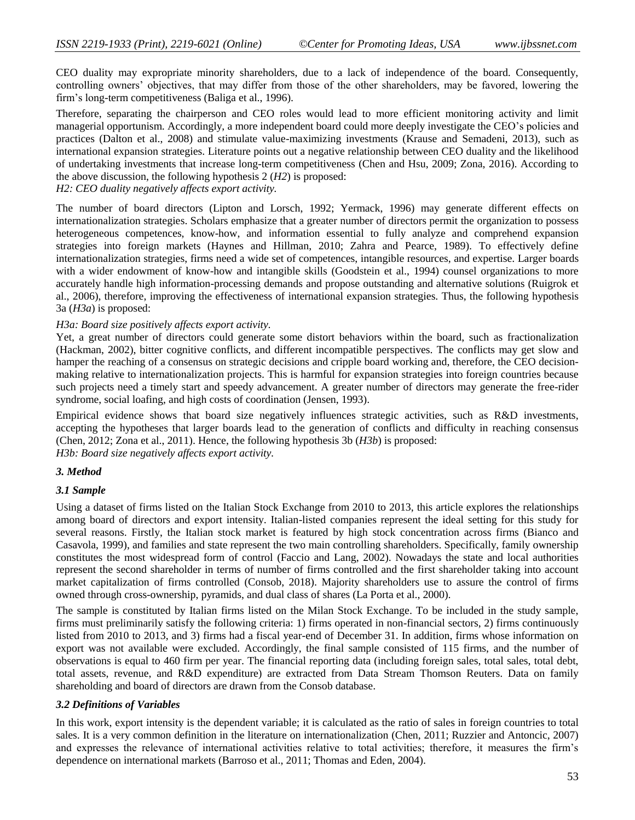CEO duality may expropriate minority shareholders, due to a lack of independence of the board. Consequently, controlling owners' objectives, that may differ from those of the other shareholders, may be favored, lowering the firm's long-term competitiveness (Baliga et al., 1996).

Therefore, separating the chairperson and CEO roles would lead to more efficient monitoring activity and limit managerial opportunism. Accordingly, a more independent board could more deeply investigate the CEO's policies and practices (Dalton et al., 2008) and stimulate value-maximizing investments (Krause and Semadeni, 2013), such as international expansion strategies. Literature points out a negative relationship between CEO duality and the likelihood of undertaking investments that increase long-term competitiveness (Chen and Hsu, 2009; Zona, 2016). According to the above discussion, the following hypothesis 2 (*H2*) is proposed:

## *H2: CEO duality negatively affects export activity.*

The number of board directors (Lipton and Lorsch, 1992; Yermack, 1996) may generate different effects on internationalization strategies. Scholars emphasize that a greater number of directors permit the organization to possess heterogeneous competences, know-how, and information essential to fully analyze and comprehend expansion strategies into foreign markets (Haynes and Hillman, 2010; Zahra and Pearce, 1989). To effectively define internationalization strategies, firms need a wide set of competences, intangible resources, and expertise. Larger boards with a wider endowment of know-how and intangible skills (Goodstein et al., 1994) counsel organizations to more accurately handle high information-processing demands and propose outstanding and alternative solutions (Ruigrok et al., 2006), therefore, improving the effectiveness of international expansion strategies. Thus, the following hypothesis 3a (*H3a*) is proposed:

#### *H3a: Board size positively affects export activity.*

Yet, a great number of directors could generate some distort behaviors within the board, such as fractionalization (Hackman, 2002), bitter cognitive conflicts, and different incompatible perspectives. The conflicts may get slow and hamper the reaching of a consensus on strategic decisions and cripple board working and, therefore, the CEO decisionmaking relative to internationalization projects. This is harmful for expansion strategies into foreign countries because such projects need a timely start and speedy advancement. A greater number of directors may generate the free-rider syndrome, social loafing, and high costs of coordination (Jensen, 1993).

Empirical evidence shows that board size negatively influences strategic activities, such as R&D investments, accepting the hypotheses that larger boards lead to the generation of conflicts and difficulty in reaching consensus (Chen, 2012; Zona et al., 2011). Hence, the following hypothesis 3b (*H3b*) is proposed: *H3b: Board size negatively affects export activity.*

#### *3. Method*

#### *3.1 Sample*

Using a dataset of firms listed on the Italian Stock Exchange from 2010 to 2013, this article explores the relationships among board of directors and export intensity. Italian-listed companies represent the ideal setting for this study for several reasons. Firstly, the Italian stock market is featured by high stock concentration across firms (Bianco and Casavola, 1999), and families and state represent the two main controlling shareholders. Specifically, family ownership constitutes the most widespread form of control (Faccio and Lang, 2002). Nowadays the state and local authorities represent the second shareholder in terms of number of firms controlled and the first shareholder taking into account market capitalization of firms controlled (Consob, 2018). Majority shareholders use to assure the control of firms owned through cross-ownership, pyramids, and dual class of shares (La Porta et al., 2000).

The sample is constituted by Italian firms listed on the Milan Stock Exchange. To be included in the study sample, firms must preliminarily satisfy the following criteria: 1) firms operated in non-financial sectors, 2) firms continuously listed from 2010 to 2013, and 3) firms had a fiscal year-end of December 31. In addition, firms whose information on export was not available were excluded. Accordingly, the final sample consisted of 115 firms, and the number of observations is equal to 460 firm per year. The financial reporting data (including foreign sales, total sales, total debt, total assets, revenue, and R&D expenditure) are extracted from Data Stream Thomson Reuters. Data on family shareholding and board of directors are drawn from the Consob database.

#### *3.2 Definitions of Variables*

In this work, export intensity is the dependent variable; it is calculated as the ratio of sales in foreign countries to total sales. It is a very common definition in the literature on internationalization (Chen, 2011; Ruzzier and Antoncic, 2007) and expresses the relevance of international activities relative to total activities; therefore, it measures the firm's dependence on international markets (Barroso et al., 2011; Thomas and Eden, 2004).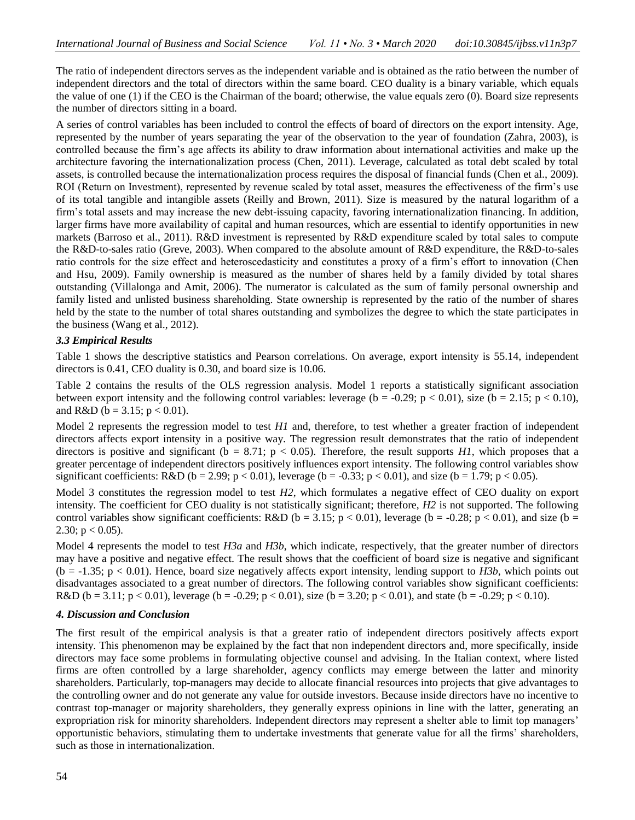The ratio of independent directors serves as the independent variable and is obtained as the ratio between the number of independent directors and the total of directors within the same board. CEO duality is a binary variable, which equals the value of one (1) if the CEO is the Chairman of the board; otherwise, the value equals zero (0). Board size represents the number of directors sitting in a board.

A series of control variables has been included to control the effects of board of directors on the export intensity. Age, represented by the number of years separating the year of the observation to the year of foundation (Zahra, 2003), is controlled because the firm's age affects its ability to draw information about international activities and make up the architecture favoring the internationalization process (Chen, 2011). Leverage, calculated as total debt scaled by total assets, is controlled because the internationalization process requires the disposal of financial funds (Chen et al., 2009). ROI (Return on Investment), represented by revenue scaled by total asset, measures the effectiveness of the firm's use of its total tangible and intangible assets (Reilly and Brown, 2011). Size is measured by the natural logarithm of a firm's total assets and may increase the new debt-issuing capacity, favoring internationalization financing. In addition, larger firms have more availability of capital and human resources, which are essential to identify opportunities in new markets (Barroso et al., 2011). R&D investment is represented by R&D expenditure scaled by total sales to compute the R&D-to-sales ratio (Greve, 2003). When compared to the absolute amount of R&D expenditure, the R&D-to-sales ratio controls for the size effect and heteroscedasticity and constitutes a proxy of a firm's effort to innovation (Chen and Hsu, 2009). Family ownership is measured as the number of shares held by a family divided by total shares outstanding (Villalonga and Amit, 2006). The numerator is calculated as the sum of family personal ownership and family listed and unlisted business shareholding. State ownership is represented by the ratio of the number of shares held by the state to the number of total shares outstanding and symbolizes the degree to which the state participates in the business (Wang et al., 2012).

## *3.3 Empirical Results*

Table 1 shows the descriptive statistics and Pearson correlations. On average, export intensity is 55.14, independent directors is 0.41, CEO duality is 0.30, and board size is 10.06.

Table 2 contains the results of the OLS regression analysis. Model 1 reports a statistically significant association between export intensity and the following control variables: leverage ( $b = -0.29$ ;  $p < 0.01$ ), size ( $b = 2.15$ ;  $p < 0.10$ ), and R&D ( $b = 3.15$ ;  $p < 0.01$ ).

Model 2 represents the regression model to test *H1* and, therefore, to test whether a greater fraction of independent directors affects export intensity in a positive way. The regression result demonstrates that the ratio of independent directors is positive and significant ( $b = 8.71$ ;  $p < 0.05$ ). Therefore, the result supports *H1*, which proposes that a greater percentage of independent directors positively influences export intensity. The following control variables show significant coefficients:  $R&D$  (b = 2.99; p < 0.01), leverage (b = -0.33; p < 0.01), and size (b = 1.79; p < 0.05).

Model 3 constitutes the regression model to test *H2*, which formulates a negative effect of CEO duality on export intensity. The coefficient for CEO duality is not statistically significant; therefore, *H2* is not supported. The following control variables show significant coefficients: R&D (b = 3.15; p < 0.01), leverage (b = -0.28; p < 0.01), and size (b = 2.30;  $p < 0.05$ ).

Model 4 represents the model to test *H3a* and *H3b*, which indicate, respectively, that the greater number of directors may have a positive and negative effect. The result shows that the coefficient of board size is negative and significant  $(b = -1.35; p < 0.01)$ . Hence, board size negatively affects export intensity, lending support to *H3b*, which points out disadvantages associated to a great number of directors. The following control variables show significant coefficients: R&D (b = 3.11; p < 0.01), leverage (b = -0.29; p < 0.01), size (b = 3.20; p < 0.01), and state (b = -0.29; p < 0.10).

#### *4. Discussion and Conclusion*

The first result of the empirical analysis is that a greater ratio of independent directors positively affects export intensity. This phenomenon may be explained by the fact that non independent directors and, more specifically, inside directors may face some problems in formulating objective counsel and advising. In the Italian context, where listed firms are often controlled by a large shareholder, agency conflicts may emerge between the latter and minority shareholders. Particularly, top-managers may decide to allocate financial resources into projects that give advantages to the controlling owner and do not generate any value for outside investors. Because inside directors have no incentive to contrast top-manager or majority shareholders, they generally express opinions in line with the latter, generating an expropriation risk for minority shareholders. Independent directors may represent a shelter able to limit top managers' opportunistic behaviors, stimulating them to undertake investments that generate value for all the firms' shareholders, such as those in internationalization.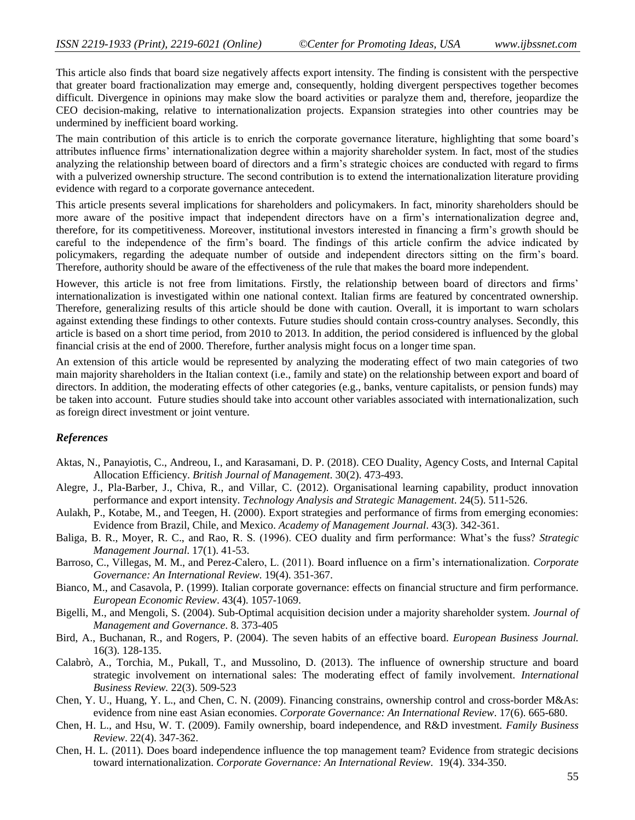This article also finds that board size negatively affects export intensity. The finding is consistent with the perspective that greater board fractionalization may emerge and, consequently, holding divergent perspectives together becomes difficult. Divergence in opinions may make slow the board activities or paralyze them and, therefore, jeopardize the CEO decision-making, relative to internationalization projects. Expansion strategies into other countries may be undermined by inefficient board working.

The main contribution of this article is to enrich the corporate governance literature, highlighting that some board's attributes influence firms' internationalization degree within a majority shareholder system. In fact, most of the studies analyzing the relationship between board of directors and a firm's strategic choices are conducted with regard to firms with a pulverized ownership structure. The second contribution is to extend the internationalization literature providing evidence with regard to a corporate governance antecedent.

This article presents several implications for shareholders and policymakers. In fact, minority shareholders should be more aware of the positive impact that independent directors have on a firm's internationalization degree and, therefore, for its competitiveness. Moreover, institutional investors interested in financing a firm's growth should be careful to the independence of the firm's board. The findings of this article confirm the advice indicated by policymakers, regarding the adequate number of outside and independent directors sitting on the firm's board. Therefore, authority should be aware of the effectiveness of the rule that makes the board more independent.

However, this article is not free from limitations. Firstly, the relationship between board of directors and firms' internationalization is investigated within one national context. Italian firms are featured by concentrated ownership. Therefore, generalizing results of this article should be done with caution. Overall, it is important to warn scholars against extending these findings to other contexts. Future studies should contain cross-country analyses. Secondly, this article is based on a short time period, from 2010 to 2013. In addition, the period considered is influenced by the global financial crisis at the end of 2000. Therefore, further analysis might focus on a longer time span.

An extension of this article would be represented by analyzing the moderating effect of two main categories of two main majority shareholders in the Italian context (i.e., family and state) on the relationship between export and board of directors. In addition, the moderating effects of other categories (e.g., banks, venture capitalists, or pension funds) may be taken into account. Future studies should take into account other variables associated with internationalization, such as foreign direct investment or joint venture.

### *References*

- Aktas, N., Panayiotis, C., Andreou, I., and Karasamani, D. P. (2018). CEO Duality, Agency Costs, and Internal Capital Allocation Efficiency. *British Journal of Management*. 30(2). 473-493.
- Alegre, J., Pla-Barber, J., Chiva, R., and Villar, C. (2012). Organisational learning capability, product innovation performance and export intensity. *Technology Analysis and Strategic Management*. 24(5). 511-526.
- Aulakh, P., Kotabe, M., and Teegen, H. (2000). Export strategies and performance of firms from emerging economies: Evidence from Brazil, Chile, and Mexico. *Academy of Management Journal*. 43(3). 342-361.
- Baliga, B. R., Moyer, R. C., and Rao, R. S. (1996). CEO duality and firm performance: What's the fuss? *Strategic Management Journal*. 17(1). 41-53.
- Barroso, C., Villegas, M. M., and Perez-Calero, L. (2011). Board influence on a firm's internationalization. *Corporate Governance: An International Review*. 19(4). 351-367.
- Bianco, M., and Casavola, P. (1999). Italian corporate governance: effects on financial structure and firm performance. *European Economic Review*. 43(4). 1057-1069.
- Bigelli, M., and Mengoli, S. (2004). Sub-Optimal acquisition decision under a majority shareholder system. *Journal of Management and Governance*. 8. 373-405
- Bird, A., Buchanan, R., and Rogers, P. (2004). The seven habits of an effective board. *European Business Journal.* 16(3). 128-135.
- Calabrò, A., Torchia, M., Pukall, T., and Mussolino, D. (2013). The influence of ownership structure and board strategic involvement on international sales: The moderating effect of family involvement. *International Business Review.* 22(3). 509-523
- Chen, Y. U., Huang, Y. L., and Chen, C. N. (2009). Financing constrains, ownership control and cross-border M&As: evidence from nine east Asian economies. *Corporate Governance: An International Review*. 17(6). 665-680.
- Chen, H. L., and Hsu, W. T. (2009). Family ownership, board independence, and R&D investment. *Family Business Review*. 22(4). 347-362.
- Chen, H. L. (2011). Does board independence influence the top management team? Evidence from strategic decisions toward internationalization. *Corporate Governance: An International Review*. 19(4). 334-350.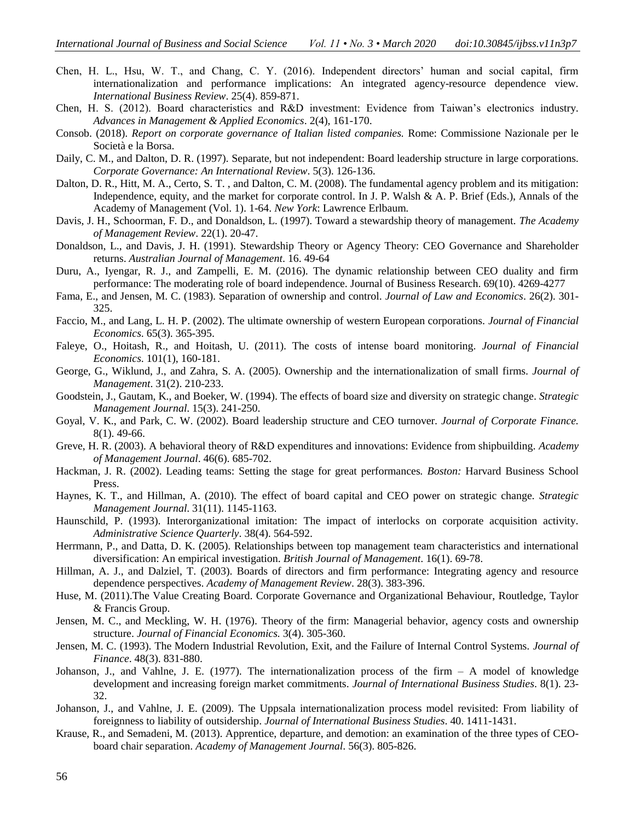- Chen, H. L., Hsu, W. T., and Chang, C. Y. (2016). Independent directors' human and social capital, firm internationalization and performance implications: An integrated agency-resource dependence view. *International Business Review*. 25(4). 859-871.
- Chen, H. S. (2012). Board characteristics and R&D investment: Evidence from Taiwan's electronics industry. *Advances in Management & Applied Economics*. 2(4), 161-170.
- Consob. (2018). *Report on corporate governance of Italian listed companies.* Rome: Commissione Nazionale per le Società e la Borsa.
- Daily, C. M., and Dalton, D. R. (1997). Separate, but not independent: Board leadership structure in large corporations. *Corporate Governance: An International Review*. 5(3). 126-136.
- Dalton, D. R., Hitt, M. A., Certo, S. T. , and Dalton, C. M. (2008). The fundamental agency problem and its mitigation: Independence, equity, and the market for corporate control. In J. P. Walsh & A. P. Brief (Eds.), Annals of the Academy of Management (Vol. 1). 1-64. *New York*: Lawrence Erlbaum.
- Davis, J. H., Schoorman, F. D., and Donaldson, L. (1997). Toward a stewardship theory of management. *The Academy of Management Review*. 22(1). 20-47.
- Donaldson, L., and Davis, J. H. (1991). Stewardship Theory or Agency Theory: CEO Governance and Shareholder returns. *Australian Journal of Management*. 16. 49-64
- Duru, A., Iyengar, R. J., and Zampelli, E. M. (2016). The dynamic relationship between CEO duality and firm performance: The moderating role of board independence. Journal of Business Research. 69(10). 4269-4277
- Fama, E., and Jensen, M. C. (1983). Separation of ownership and control. *Journal of Law and Economics*. 26(2). 301- 325.
- Faccio, M., and Lang, L. H. P. (2002). The ultimate ownership of western European corporations. *Journal of Financial Economics*. 65(3). 365-395.
- Faleye, O., Hoitash, R., and Hoitash, U. (2011). The costs of intense board monitoring. *Journal of Financial Economics*. 101(1), 160-181.
- George, G., Wiklund, J., and Zahra, S. A. (2005). Ownership and the internationalization of small firms. *Journal of Management*. 31(2). 210-233.
- Goodstein, J., Gautam, K., and Boeker, W. (1994). The effects of board size and diversity on strategic change. *Strategic Management Journal*. 15(3). 241-250.
- Goyal, V. K., and Park, C. W. (2002). Board leadership structure and CEO turnover. *Journal of Corporate Finance.* 8(1). 49-66.
- Greve, H. R. (2003). A behavioral theory of R&D expenditures and innovations: Evidence from shipbuilding. *Academy of Management Journal*. 46(6). 685-702.
- Hackman, J. R. (2002). Leading teams: Setting the stage for great performances*. Boston:* Harvard Business School Press.
- Haynes, K. T., and Hillman, A. (2010). The effect of board capital and CEO power on strategic change. *Strategic Management Journal*. 31(11). 1145-1163.
- Haunschild, P. (1993). Interorganizational imitation: The impact of interlocks on corporate acquisition activity. *Administrative Science Quarterly*. 38(4). 564-592.
- Herrmann, P., and Datta, D. K. (2005). Relationships between top management team characteristics and international diversification: An empirical investigation. *British Journal of Management*. 16(1). 69-78.
- Hillman, A. J., and Dalziel, T. (2003). Boards of directors and firm performance: Integrating agency and resource dependence perspectives. *Academy of Management Review*. 28(3). 383-396.
- Huse, M. (2011).The Value Creating Board. Corporate Governance and Organizational Behaviour, Routledge, Taylor & Francis Group.
- Jensen, M. C., and Meckling, W. H. (1976). Theory of the firm: Managerial behavior, agency costs and ownership structure. *Journal of Financial Economics.* 3(4). 305-360.
- Jensen, M. C. (1993). The Modern Industrial Revolution, Exit, and the Failure of Internal Control Systems. *Journal of Finance*. 48(3). 831-880.
- Johanson, J., and Vahlne, J. E. (1977). The internationalization process of the firm A model of knowledge development and increasing foreign market commitments. *Journal of International Business Studies*. 8(1). 23- 32.
- Johanson, J., and Vahlne, J. E. (2009). [The Uppsala internationalization process model revisited: From liability of](https://ideas.repec.org/a/pal/jintbs/v40y2009i9p1411-1431.html)  [foreignness to liability of outsidership.](https://ideas.repec.org/a/pal/jintbs/v40y2009i9p1411-1431.html) *Journal of International Business Studies*. 40. 1411-1431.
- Krause, R., and Semadeni, M. (2013). Apprentice, departure, and demotion: an examination of the three types of CEOboard chair separation. *Academy of Management Journal*. 56(3). 805-826.